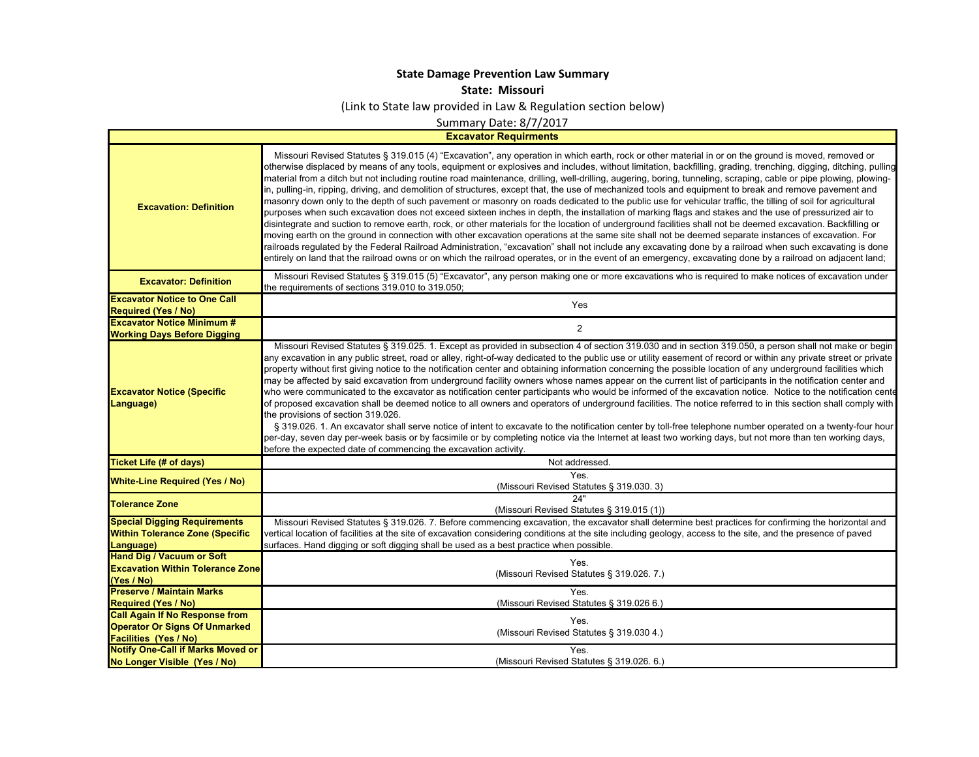## **State Damage Prevention Law Summary**

**State: Missouri**

(Link to State law provided in Law & Regulation section below)

Summary Date: 8/7/2017

**Excavator Requirments**

Т.

| <b>Excavation: Definition</b>                                                              | Missouri Revised Statutes § 319.015 (4) "Excavation", any operation in which earth, rock or other material in or on the ground is moved, removed or<br>otherwise displaced by means of any tools, equipment or explosives and includes, without limitation, backfilling, grading, trenching, digging, ditching, pulling<br>material from a ditch but not including routine road maintenance, drilling, well-drilling, augering, boring, tunneling, scraping, cable or pipe plowing, plowing-<br>in, pulling-in, ripping, driving, and demolition of structures, except that, the use of mechanized tools and equipment to break and remove pavement and<br>masonry down only to the depth of such pavement or masonry on roads dedicated to the public use for vehicular traffic, the tilling of soil for agricultural<br>purposes when such excavation does not exceed sixteen inches in depth, the installation of marking flags and stakes and the use of pressurized air to<br>disintegrate and suction to remove earth, rock, or other materials for the location of underground facilities shall not be deemed excavation. Backfilling or<br>moving earth on the ground in connection with other excavation operations at the same site shall not be deemed separate instances of excavation. For<br>railroads regulated by the Federal Railroad Administration, "excavation" shall not include any excavating done by a railroad when such excavating is done<br>entirely on land that the railroad owns or on which the railroad operates, or in the event of an emergency, excavating done by a railroad on adjacent land; |
|--------------------------------------------------------------------------------------------|-------------------------------------------------------------------------------------------------------------------------------------------------------------------------------------------------------------------------------------------------------------------------------------------------------------------------------------------------------------------------------------------------------------------------------------------------------------------------------------------------------------------------------------------------------------------------------------------------------------------------------------------------------------------------------------------------------------------------------------------------------------------------------------------------------------------------------------------------------------------------------------------------------------------------------------------------------------------------------------------------------------------------------------------------------------------------------------------------------------------------------------------------------------------------------------------------------------------------------------------------------------------------------------------------------------------------------------------------------------------------------------------------------------------------------------------------------------------------------------------------------------------------------------------------------------------------------------------------------------------------------------|
| <b>Excavator: Definition</b>                                                               | Missouri Revised Statutes § 319.015 (5) "Excavator", any person making one or more excavations who is required to make notices of excavation under<br>the requirements of sections 319.010 to 319.050;                                                                                                                                                                                                                                                                                                                                                                                                                                                                                                                                                                                                                                                                                                                                                                                                                                                                                                                                                                                                                                                                                                                                                                                                                                                                                                                                                                                                                              |
| <b>Excavator Notice to One Call</b><br><b>Required (Yes / No)</b>                          | Yes                                                                                                                                                                                                                                                                                                                                                                                                                                                                                                                                                                                                                                                                                                                                                                                                                                                                                                                                                                                                                                                                                                                                                                                                                                                                                                                                                                                                                                                                                                                                                                                                                                 |
| <b>Excavator Notice Minimum #</b>                                                          | $\overline{2}$                                                                                                                                                                                                                                                                                                                                                                                                                                                                                                                                                                                                                                                                                                                                                                                                                                                                                                                                                                                                                                                                                                                                                                                                                                                                                                                                                                                                                                                                                                                                                                                                                      |
| <b>Working Days Before Digging</b>                                                         | Missouri Revised Statutes § 319.025. 1. Except as provided in subsection 4 of section 319.030 and in section 319.050, a person shall not make or begin                                                                                                                                                                                                                                                                                                                                                                                                                                                                                                                                                                                                                                                                                                                                                                                                                                                                                                                                                                                                                                                                                                                                                                                                                                                                                                                                                                                                                                                                              |
| <b>Excavator Notice (Specific</b><br>Language)                                             | any excavation in any public street, road or alley, right-of-way dedicated to the public use or utility easement of record or within any private street or private<br>property without first giving notice to the notification center and obtaining information concerning the possible location of any underground facilities which<br>may be affected by said excavation from underground facility owners whose names appear on the current list of participants in the notification center and<br>who were communicated to the excavator as notification center participants who would be informed of the excavation notice. Notice to the notification cente<br>of proposed excavation shall be deemed notice to all owners and operators of underground facilities. The notice referred to in this section shall comply with<br>the provisions of section 319.026.<br>§ 319.026. 1. An excavator shall serve notice of intent to excavate to the notification center by toll-free telephone number operated on a twenty-four hour<br>per-day, seven day per-week basis or by facsimile or by completing notice via the Internet at least two working days, but not more than ten working days,<br>before the expected date of commencing the excavation activity.                                                                                                                                                                                                                                                                                                                                                              |
| <b>Ticket Life (# of days)</b>                                                             | Not addressed.                                                                                                                                                                                                                                                                                                                                                                                                                                                                                                                                                                                                                                                                                                                                                                                                                                                                                                                                                                                                                                                                                                                                                                                                                                                                                                                                                                                                                                                                                                                                                                                                                      |
| <b>White-Line Required (Yes / No)</b>                                                      | <b>Yes</b><br>(Missouri Revised Statutes § 319.030. 3)                                                                                                                                                                                                                                                                                                                                                                                                                                                                                                                                                                                                                                                                                                                                                                                                                                                                                                                                                                                                                                                                                                                                                                                                                                                                                                                                                                                                                                                                                                                                                                              |
| <b>Tolerance Zone</b>                                                                      | 24"<br>(Missouri Revised Statutes § 319.015 (1))                                                                                                                                                                                                                                                                                                                                                                                                                                                                                                                                                                                                                                                                                                                                                                                                                                                                                                                                                                                                                                                                                                                                                                                                                                                                                                                                                                                                                                                                                                                                                                                    |
| <b>Special Digging Requirements</b><br><b>Within Tolerance Zone (Specific</b><br>Language) | Missouri Revised Statutes § 319.026. 7. Before commencing excavation, the excavator shall determine best practices for confirming the horizontal and<br>vertical location of facilities at the site of excavation considering conditions at the site including geology, access to the site, and the presence of paved<br>surfaces. Hand digging or soft digging shall be used as a best practice when possible.                                                                                                                                                                                                                                                                                                                                                                                                                                                                                                                                                                                                                                                                                                                                                                                                                                                                                                                                                                                                                                                                                                                                                                                                                     |
| <b>Hand Dig / Vacuum or Soft</b><br><b>Excavation Within Tolerance Zone</b><br>(Yes / No)  | Yes.<br>(Missouri Revised Statutes § 319.026.7.)                                                                                                                                                                                                                                                                                                                                                                                                                                                                                                                                                                                                                                                                                                                                                                                                                                                                                                                                                                                                                                                                                                                                                                                                                                                                                                                                                                                                                                                                                                                                                                                    |
| <b>Preserve / Maintain Marks</b>                                                           | Yes.                                                                                                                                                                                                                                                                                                                                                                                                                                                                                                                                                                                                                                                                                                                                                                                                                                                                                                                                                                                                                                                                                                                                                                                                                                                                                                                                                                                                                                                                                                                                                                                                                                |
| <b>Required (Yes / No)</b><br><b>Call Again If No Response from</b>                        | (Missouri Revised Statutes § 319.026 6.)                                                                                                                                                                                                                                                                                                                                                                                                                                                                                                                                                                                                                                                                                                                                                                                                                                                                                                                                                                                                                                                                                                                                                                                                                                                                                                                                                                                                                                                                                                                                                                                            |
| <b>Operator Or Signs Of Unmarked</b><br><b>Facilities (Yes / No)</b>                       | Yes.<br>(Missouri Revised Statutes § 319.030 4.)                                                                                                                                                                                                                                                                                                                                                                                                                                                                                                                                                                                                                                                                                                                                                                                                                                                                                                                                                                                                                                                                                                                                                                                                                                                                                                                                                                                                                                                                                                                                                                                    |
| <b>Notify One-Call if Marks Moved or</b>                                                   | Yes.                                                                                                                                                                                                                                                                                                                                                                                                                                                                                                                                                                                                                                                                                                                                                                                                                                                                                                                                                                                                                                                                                                                                                                                                                                                                                                                                                                                                                                                                                                                                                                                                                                |
| No Longer Visible (Yes / No)                                                               | (Missouri Revised Statutes § 319.026. 6.)                                                                                                                                                                                                                                                                                                                                                                                                                                                                                                                                                                                                                                                                                                                                                                                                                                                                                                                                                                                                                                                                                                                                                                                                                                                                                                                                                                                                                                                                                                                                                                                           |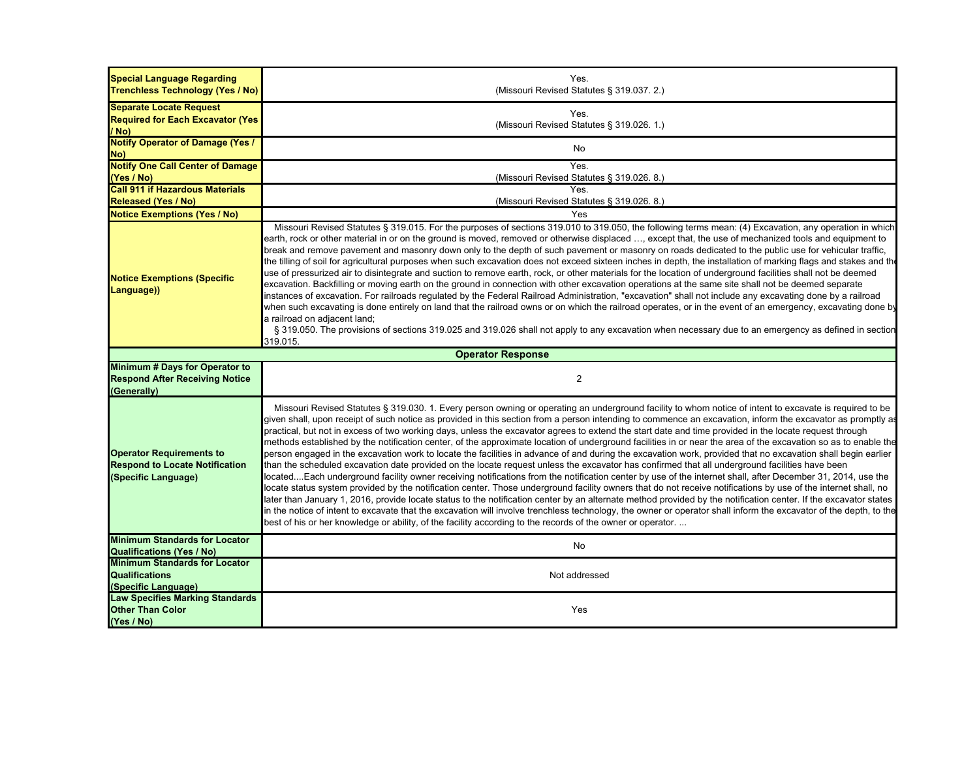| <b>Special Language Regarding</b><br>Trenchless Technology (Yes / No)                           | Yes.<br>(Missouri Revised Statutes § 319.037. 2.)                                                                                                                                                                                                                                                                                                                                                                                                                                                                                                                                                                                                                                                                                                                                                                                                                                                                                                                                                                                                                                                                                                                                                                                                                                                                                                                                                                                                                                                                                                                                                                                                                                                                                                            |
|-------------------------------------------------------------------------------------------------|--------------------------------------------------------------------------------------------------------------------------------------------------------------------------------------------------------------------------------------------------------------------------------------------------------------------------------------------------------------------------------------------------------------------------------------------------------------------------------------------------------------------------------------------------------------------------------------------------------------------------------------------------------------------------------------------------------------------------------------------------------------------------------------------------------------------------------------------------------------------------------------------------------------------------------------------------------------------------------------------------------------------------------------------------------------------------------------------------------------------------------------------------------------------------------------------------------------------------------------------------------------------------------------------------------------------------------------------------------------------------------------------------------------------------------------------------------------------------------------------------------------------------------------------------------------------------------------------------------------------------------------------------------------------------------------------------------------------------------------------------------------|
| <b>Separate Locate Request</b>                                                                  |                                                                                                                                                                                                                                                                                                                                                                                                                                                                                                                                                                                                                                                                                                                                                                                                                                                                                                                                                                                                                                                                                                                                                                                                                                                                                                                                                                                                                                                                                                                                                                                                                                                                                                                                                              |
| <b>Required for Each Excavator (Yes)</b>                                                        | Yes.                                                                                                                                                                                                                                                                                                                                                                                                                                                                                                                                                                                                                                                                                                                                                                                                                                                                                                                                                                                                                                                                                                                                                                                                                                                                                                                                                                                                                                                                                                                                                                                                                                                                                                                                                         |
| / No)                                                                                           | (Missouri Revised Statutes § 319.026. 1.)                                                                                                                                                                                                                                                                                                                                                                                                                                                                                                                                                                                                                                                                                                                                                                                                                                                                                                                                                                                                                                                                                                                                                                                                                                                                                                                                                                                                                                                                                                                                                                                                                                                                                                                    |
| <b>Notify Operator of Damage (Yes /</b><br>No)                                                  | No                                                                                                                                                                                                                                                                                                                                                                                                                                                                                                                                                                                                                                                                                                                                                                                                                                                                                                                                                                                                                                                                                                                                                                                                                                                                                                                                                                                                                                                                                                                                                                                                                                                                                                                                                           |
| <b>Notify One Call Center of Damage</b>                                                         | Yes.                                                                                                                                                                                                                                                                                                                                                                                                                                                                                                                                                                                                                                                                                                                                                                                                                                                                                                                                                                                                                                                                                                                                                                                                                                                                                                                                                                                                                                                                                                                                                                                                                                                                                                                                                         |
| (Yes / No)                                                                                      | (Missouri Revised Statutes § 319.026. 8.)                                                                                                                                                                                                                                                                                                                                                                                                                                                                                                                                                                                                                                                                                                                                                                                                                                                                                                                                                                                                                                                                                                                                                                                                                                                                                                                                                                                                                                                                                                                                                                                                                                                                                                                    |
| <b>Call 911 if Hazardous Materials</b>                                                          | <b>Yes</b>                                                                                                                                                                                                                                                                                                                                                                                                                                                                                                                                                                                                                                                                                                                                                                                                                                                                                                                                                                                                                                                                                                                                                                                                                                                                                                                                                                                                                                                                                                                                                                                                                                                                                                                                                   |
| <b>Released (Yes / No)</b>                                                                      | (Missouri Revised Statutes § 319.026.8.)                                                                                                                                                                                                                                                                                                                                                                                                                                                                                                                                                                                                                                                                                                                                                                                                                                                                                                                                                                                                                                                                                                                                                                                                                                                                                                                                                                                                                                                                                                                                                                                                                                                                                                                     |
| <b>Notice Exemptions (Yes / No)</b>                                                             | Yes                                                                                                                                                                                                                                                                                                                                                                                                                                                                                                                                                                                                                                                                                                                                                                                                                                                                                                                                                                                                                                                                                                                                                                                                                                                                                                                                                                                                                                                                                                                                                                                                                                                                                                                                                          |
| <b>Notice Exemptions (Specific</b><br>Language))                                                | Missouri Revised Statutes § 319.015. For the purposes of sections 319.010 to 319.050, the following terms mean: (4) Excavation, any operation in which<br>earth, rock or other material in or on the ground is moved, removed or otherwise displaced , except that, the use of mechanized tools and equipment to<br>break and remove pavement and masonry down only to the depth of such pavement or masonry on roads dedicated to the public use for vehicular traffic,<br>the tilling of soil for agricultural purposes when such excavation does not exceed sixteen inches in depth, the installation of marking flags and stakes and the<br>use of pressurized air to disintegrate and suction to remove earth, rock, or other materials for the location of underground facilities shall not be deemed<br>excavation. Backfilling or moving earth on the ground in connection with other excavation operations at the same site shall not be deemed separate<br>instances of excavation. For railroads regulated by the Federal Railroad Administration, "excavation" shall not include any excavating done by a railroad<br>when such excavating is done entirely on land that the railroad owns or on which the railroad operates, or in the event of an emergency, excavating done by<br>a railroad on adjacent land;<br>§ 319.050. The provisions of sections 319.025 and 319.026 shall not apply to any excavation when necessary due to an emergency as defined in section<br>319.015.                                                                                                                                                                                                                                                            |
|                                                                                                 | <b>Operator Response</b>                                                                                                                                                                                                                                                                                                                                                                                                                                                                                                                                                                                                                                                                                                                                                                                                                                                                                                                                                                                                                                                                                                                                                                                                                                                                                                                                                                                                                                                                                                                                                                                                                                                                                                                                     |
| Minimum # Days for Operator to<br><b>Respond After Receiving Notice</b><br>(Generally)          | $\overline{2}$                                                                                                                                                                                                                                                                                                                                                                                                                                                                                                                                                                                                                                                                                                                                                                                                                                                                                                                                                                                                                                                                                                                                                                                                                                                                                                                                                                                                                                                                                                                                                                                                                                                                                                                                               |
| <b>Operator Requirements to</b><br><b>Respond to Locate Notification</b><br>(Specific Language) | Missouri Revised Statutes § 319.030. 1. Every person owning or operating an underground facility to whom notice of intent to excavate is required to be<br>given shall, upon receipt of such notice as provided in this section from a person intending to commence an excavation, inform the excavator as promptly as<br>practical, but not in excess of two working days, unless the excavator agrees to extend the start date and time provided in the locate request through<br>methods established by the notification center, of the approximate location of underground facilities in or near the area of the excavation so as to enable the<br>person engaged in the excavation work to locate the facilities in advance of and during the excavation work, provided that no excavation shall begin earlier<br>than the scheduled excavation date provided on the locate request unless the excavator has confirmed that all underground facilities have been<br>locatedEach underground facility owner receiving notifications from the notification center by use of the internet shall, after December 31, 2014, use the<br>locate status system provided by the notification center. Those underground facility owners that do not receive notifications by use of the internet shall, no<br>later than January 1, 2016, provide locate status to the notification center by an alternate method provided by the notification center. If the excavator states<br>in the notice of intent to excavate that the excavation will involve trenchless technology, the owner or operator shall inform the excavator of the depth, to the<br>best of his or her knowledge or ability, of the facility according to the records of the owner or operator |
| <b>Minimum Standards for Locator</b><br><b>Qualifications (Yes / No)</b>                        | No                                                                                                                                                                                                                                                                                                                                                                                                                                                                                                                                                                                                                                                                                                                                                                                                                                                                                                                                                                                                                                                                                                                                                                                                                                                                                                                                                                                                                                                                                                                                                                                                                                                                                                                                                           |
| <b>Minimum Standards for Locator</b>                                                            |                                                                                                                                                                                                                                                                                                                                                                                                                                                                                                                                                                                                                                                                                                                                                                                                                                                                                                                                                                                                                                                                                                                                                                                                                                                                                                                                                                                                                                                                                                                                                                                                                                                                                                                                                              |
| <b>Qualifications</b>                                                                           | Not addressed                                                                                                                                                                                                                                                                                                                                                                                                                                                                                                                                                                                                                                                                                                                                                                                                                                                                                                                                                                                                                                                                                                                                                                                                                                                                                                                                                                                                                                                                                                                                                                                                                                                                                                                                                |
| (Specific Language)                                                                             |                                                                                                                                                                                                                                                                                                                                                                                                                                                                                                                                                                                                                                                                                                                                                                                                                                                                                                                                                                                                                                                                                                                                                                                                                                                                                                                                                                                                                                                                                                                                                                                                                                                                                                                                                              |
| <b>Law Specifies Marking Standards</b>                                                          |                                                                                                                                                                                                                                                                                                                                                                                                                                                                                                                                                                                                                                                                                                                                                                                                                                                                                                                                                                                                                                                                                                                                                                                                                                                                                                                                                                                                                                                                                                                                                                                                                                                                                                                                                              |
| <b>Other Than Color</b>                                                                         | Yes                                                                                                                                                                                                                                                                                                                                                                                                                                                                                                                                                                                                                                                                                                                                                                                                                                                                                                                                                                                                                                                                                                                                                                                                                                                                                                                                                                                                                                                                                                                                                                                                                                                                                                                                                          |
| (Yes / No)                                                                                      |                                                                                                                                                                                                                                                                                                                                                                                                                                                                                                                                                                                                                                                                                                                                                                                                                                                                                                                                                                                                                                                                                                                                                                                                                                                                                                                                                                                                                                                                                                                                                                                                                                                                                                                                                              |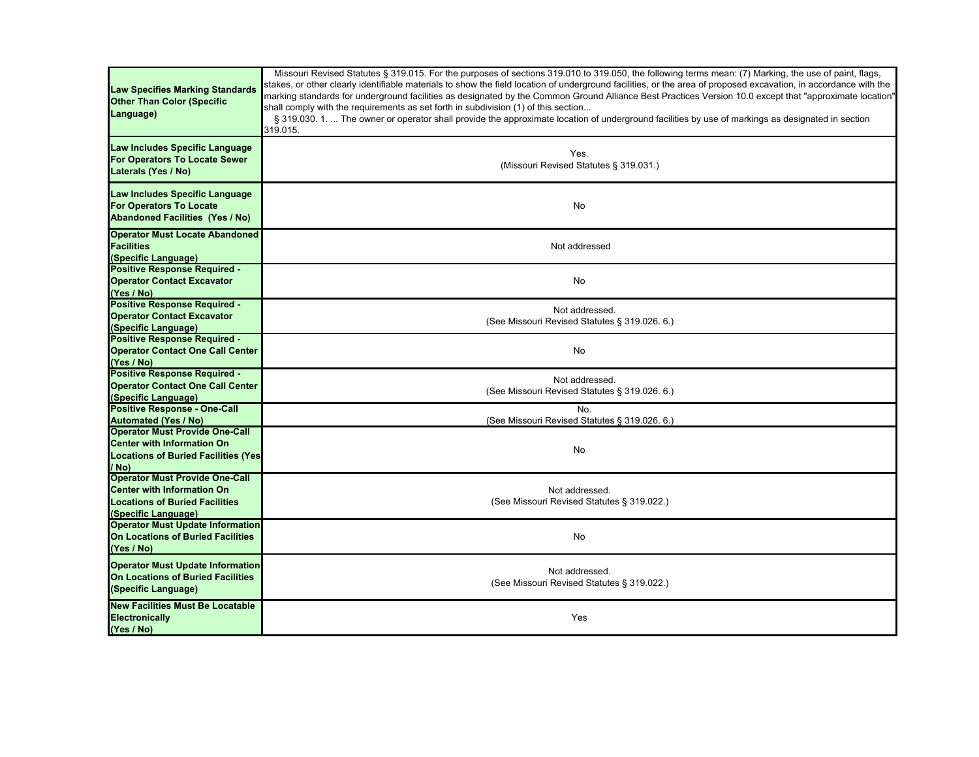| <b>Law Specifies Marking Standards</b><br><b>Other Than Color (Specific</b><br>Language)                                                   | Missouri Revised Statutes § 319.015. For the purposes of sections 319.010 to 319.050, the following terms mean: (7) Marking, the use of paint, flags,<br>stakes, or other clearly identifiable materials to show the field location of underground facilities, or the area of proposed excavation, in accordance with the<br>marking standards for underground facilities as designated by the Common Ground Alliance Best Practices Version 10.0 except that "approximate location"<br>shall comply with the requirements as set forth in subdivision (1) of this section<br>§ 319.030. 1.  The owner or operator shall provide the approximate location of underground facilities by use of markings as designated in section<br>319.015. |
|--------------------------------------------------------------------------------------------------------------------------------------------|---------------------------------------------------------------------------------------------------------------------------------------------------------------------------------------------------------------------------------------------------------------------------------------------------------------------------------------------------------------------------------------------------------------------------------------------------------------------------------------------------------------------------------------------------------------------------------------------------------------------------------------------------------------------------------------------------------------------------------------------|
| Law Includes Specific Language<br>For Operators To Locate Sewer<br>Laterals (Yes / No)                                                     | Yes.<br>(Missouri Revised Statutes § 319.031.)                                                                                                                                                                                                                                                                                                                                                                                                                                                                                                                                                                                                                                                                                              |
| Law Includes Specific Language<br><b>For Operators To Locate</b><br><b>Abandoned Facilities (Yes / No)</b>                                 | No                                                                                                                                                                                                                                                                                                                                                                                                                                                                                                                                                                                                                                                                                                                                          |
| <b>Operator Must Locate Abandoned</b><br><b>Facilities</b><br>(Specific Language)                                                          | Not addressed                                                                                                                                                                                                                                                                                                                                                                                                                                                                                                                                                                                                                                                                                                                               |
| <b>Positive Response Required -</b><br><b>Operator Contact Excavator</b><br>(Yes / No)                                                     | No                                                                                                                                                                                                                                                                                                                                                                                                                                                                                                                                                                                                                                                                                                                                          |
| <b>Positive Response Required -</b><br><b>Operator Contact Excavator</b><br>(Specific Language)                                            | Not addressed.<br>(See Missouri Revised Statutes § 319.026. 6.)                                                                                                                                                                                                                                                                                                                                                                                                                                                                                                                                                                                                                                                                             |
| Positive Response Required -<br><b>Operator Contact One Call Center</b><br>(Yes / No)                                                      | No                                                                                                                                                                                                                                                                                                                                                                                                                                                                                                                                                                                                                                                                                                                                          |
| <b>Positive Response Required -</b><br><b>Operator Contact One Call Center</b><br>(Specific Language)                                      | Not addressed.<br>(See Missouri Revised Statutes § 319.026. 6.)                                                                                                                                                                                                                                                                                                                                                                                                                                                                                                                                                                                                                                                                             |
| <b>Positive Response - One-Call</b><br><b>Automated (Yes / No)</b>                                                                         | No.<br>(See Missouri Revised Statutes § 319.026. 6.)                                                                                                                                                                                                                                                                                                                                                                                                                                                                                                                                                                                                                                                                                        |
| <b>Operator Must Provide One-Call</b><br>Center with Information On<br><b>Locations of Buried Facilities (Yes)</b><br>/ No)                | No                                                                                                                                                                                                                                                                                                                                                                                                                                                                                                                                                                                                                                                                                                                                          |
| <b>Operator Must Provide One-Call</b><br><b>Center with Information On</b><br><b>Locations of Buried Facilities</b><br>(Specific Language) | Not addressed.<br>(See Missouri Revised Statutes § 319.022.)                                                                                                                                                                                                                                                                                                                                                                                                                                                                                                                                                                                                                                                                                |
| <b>Operator Must Update Information</b><br>On Locations of Buried Facilities<br>(Yes / No)                                                 | No                                                                                                                                                                                                                                                                                                                                                                                                                                                                                                                                                                                                                                                                                                                                          |
| <b>Operator Must Update Information</b><br>On Locations of Buried Facilities<br>(Specific Language)                                        | Not addressed.<br>(See Missouri Revised Statutes § 319.022.)                                                                                                                                                                                                                                                                                                                                                                                                                                                                                                                                                                                                                                                                                |
| <b>New Facilities Must Be Locatable</b><br><b>Electronically</b><br>(Yes / No)                                                             | Yes                                                                                                                                                                                                                                                                                                                                                                                                                                                                                                                                                                                                                                                                                                                                         |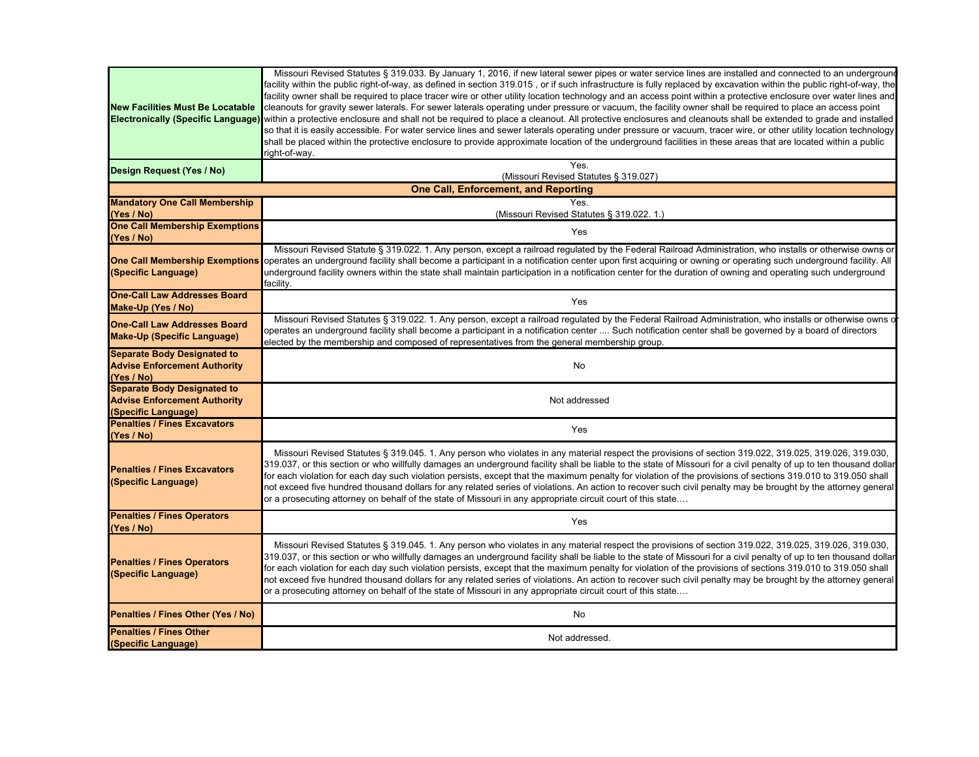| <b>New Facilities Must Be Locatable</b><br><b>Electronically (Specific Language)</b>             | Missouri Revised Statutes § 319.033. By January 1, 2016, if new lateral sewer pipes or water service lines are installed and connected to an underground<br>facility within the public right-of-way, as defined in section 319.015, or if such infrastructure is fully replaced by excavation within the public right-of-way, the<br>facility owner shall be required to place tracer wire or other utility location technology and an access point within a protective enclosure over water lines and<br>cleanouts for gravity sewer laterals. For sewer laterals operating under pressure or vacuum, the facility owner shall be required to place an access point<br>within a protective enclosure and shall not be required to place a cleanout. All protective enclosures and cleanouts shall be extended to grade and installed<br>so that it is easily accessible. For water service lines and sewer laterals operating under pressure or vacuum, tracer wire, or other utility location technology<br>shall be placed within the protective enclosure to provide approximate location of the underground facilities in these areas that are located within a public<br>right-of-way. |  |
|--------------------------------------------------------------------------------------------------|----------------------------------------------------------------------------------------------------------------------------------------------------------------------------------------------------------------------------------------------------------------------------------------------------------------------------------------------------------------------------------------------------------------------------------------------------------------------------------------------------------------------------------------------------------------------------------------------------------------------------------------------------------------------------------------------------------------------------------------------------------------------------------------------------------------------------------------------------------------------------------------------------------------------------------------------------------------------------------------------------------------------------------------------------------------------------------------------------------------------------------------------------------------------------------------------|--|
| Design Request (Yes / No)                                                                        | Yes.<br>(Missouri Revised Statutes § 319.027)                                                                                                                                                                                                                                                                                                                                                                                                                                                                                                                                                                                                                                                                                                                                                                                                                                                                                                                                                                                                                                                                                                                                                |  |
| <b>One Call, Enforcement, and Reporting</b>                                                      |                                                                                                                                                                                                                                                                                                                                                                                                                                                                                                                                                                                                                                                                                                                                                                                                                                                                                                                                                                                                                                                                                                                                                                                              |  |
| <b>Mandatory One Call Membership</b>                                                             | <b>Yes</b>                                                                                                                                                                                                                                                                                                                                                                                                                                                                                                                                                                                                                                                                                                                                                                                                                                                                                                                                                                                                                                                                                                                                                                                   |  |
| (Yes / No)<br><b>One Call Membership Exemptions</b>                                              | (Missouri Revised Statutes § 319.022. 1.)                                                                                                                                                                                                                                                                                                                                                                                                                                                                                                                                                                                                                                                                                                                                                                                                                                                                                                                                                                                                                                                                                                                                                    |  |
| (Yes / No)                                                                                       | Yes                                                                                                                                                                                                                                                                                                                                                                                                                                                                                                                                                                                                                                                                                                                                                                                                                                                                                                                                                                                                                                                                                                                                                                                          |  |
| <b>One Call Membership Exemptions</b><br>(Specific Language)                                     | Missouri Revised Statute § 319.022. 1. Any person, except a railroad regulated by the Federal Railroad Administration, who installs or otherwise owns or<br>operates an underground facility shall become a participant in a notification center upon first acquiring or owning or operating such underground facility. All<br>underground facility owners within the state shall maintain participation in a notification center for the duration of owning and operating such underground<br>facility.                                                                                                                                                                                                                                                                                                                                                                                                                                                                                                                                                                                                                                                                                     |  |
| <b>One-Call Law Addresses Board</b><br>Make-Up (Yes / No)                                        | Yes                                                                                                                                                                                                                                                                                                                                                                                                                                                                                                                                                                                                                                                                                                                                                                                                                                                                                                                                                                                                                                                                                                                                                                                          |  |
| <b>One-Call Law Addresses Board</b><br><b>Make-Up (Specific Language)</b>                        | Missouri Revised Statutes § 319.022. 1. Any person, except a railroad regulated by the Federal Railroad Administration, who installs or otherwise owns o<br>operates an underground facility shall become a participant in a notification center  Such notification center shall be governed by a board of directors<br>elected by the membership and composed of representatives from the general membership group.                                                                                                                                                                                                                                                                                                                                                                                                                                                                                                                                                                                                                                                                                                                                                                         |  |
| <b>Separate Body Designated to</b><br><b>Advise Enforcement Authority</b><br>(Yes / No)          | No                                                                                                                                                                                                                                                                                                                                                                                                                                                                                                                                                                                                                                                                                                                                                                                                                                                                                                                                                                                                                                                                                                                                                                                           |  |
| <b>Separate Body Designated to</b><br><b>Advise Enforcement Authority</b><br>(Specific Language) | Not addressed                                                                                                                                                                                                                                                                                                                                                                                                                                                                                                                                                                                                                                                                                                                                                                                                                                                                                                                                                                                                                                                                                                                                                                                |  |
| <b>Penalties / Fines Excavators</b><br>(Yes / No)                                                | Yes                                                                                                                                                                                                                                                                                                                                                                                                                                                                                                                                                                                                                                                                                                                                                                                                                                                                                                                                                                                                                                                                                                                                                                                          |  |
| <b>Penalties / Fines Excavators</b><br>(Specific Language)                                       | Missouri Revised Statutes § 319.045. 1. Any person who violates in any material respect the provisions of section 319.022, 319.025, 319.026, 319.030,<br>319.037, or this section or who willfully damages an underground facility shall be liable to the state of Missouri for a civil penalty of up to ten thousand dollar<br>for each violation for each day such violation persists, except that the maximum penalty for violation of the provisions of sections 319.010 to 319.050 shall<br>not exceed five hundred thousand dollars for any related series of violations. An action to recover such civil penalty may be brought by the attorney general<br>or a prosecuting attorney on behalf of the state of Missouri in any appropriate circuit court of this state                                                                                                                                                                                                                                                                                                                                                                                                                |  |
| <b>Penalties / Fines Operators</b><br>(Yes / No)                                                 | Yes                                                                                                                                                                                                                                                                                                                                                                                                                                                                                                                                                                                                                                                                                                                                                                                                                                                                                                                                                                                                                                                                                                                                                                                          |  |
| <b>Penalties / Fines Operators</b><br>(Specific Language)                                        | Missouri Revised Statutes § 319.045. 1. Any person who violates in any material respect the provisions of section 319.022, 319.025, 319.026, 319.026, 319.030,<br>319.037, or this section or who willfully damages an underground facility shall be liable to the state of Missouri for a civil penalty of up to ten thousand dollar<br>for each violation for each day such violation persists, except that the maximum penalty for violation of the provisions of sections 319.010 to 319.050 shall<br>not exceed five hundred thousand dollars for any related series of violations. An action to recover such civil penalty may be brought by the attorney general<br>or a prosecuting attorney on behalf of the state of Missouri in any appropriate circuit court of this state                                                                                                                                                                                                                                                                                                                                                                                                       |  |
| Penalties / Fines Other (Yes / No)                                                               | No                                                                                                                                                                                                                                                                                                                                                                                                                                                                                                                                                                                                                                                                                                                                                                                                                                                                                                                                                                                                                                                                                                                                                                                           |  |
| <b>Penalties / Fines Other</b><br>(Specific Language)                                            | Not addressed.                                                                                                                                                                                                                                                                                                                                                                                                                                                                                                                                                                                                                                                                                                                                                                                                                                                                                                                                                                                                                                                                                                                                                                               |  |